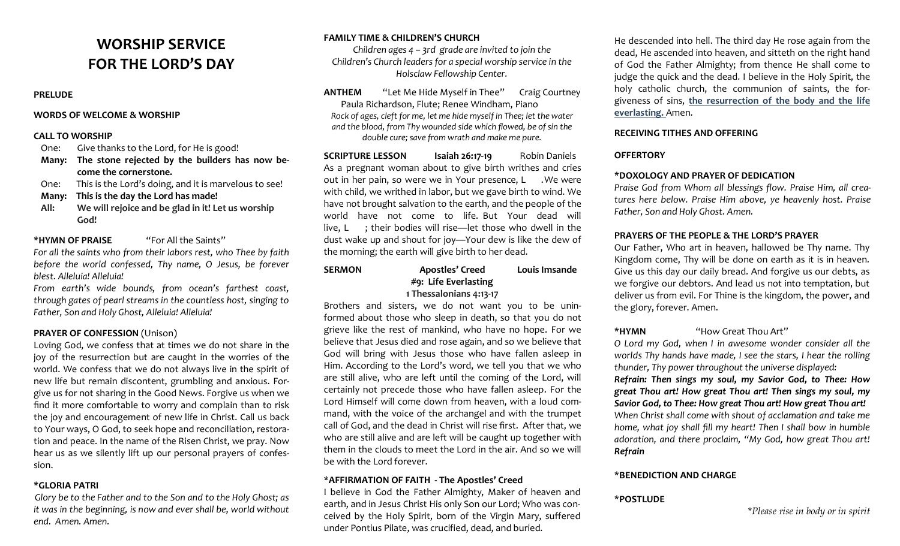# **WORSHIP SERVICE FOR THE LORD'S DAY**

#### **PRELUDE**

#### **WORDS OF WELCOME & WORSHIP**

#### **CALL TO WORSHIP**

- One: Give thanks to the Lord, for He is good!
- **Many: The stone rejected by the builders has now become the cornerstone.**
- One: This is the Lord's doing, and it is marvelous to see!
- **Many: This is the day the Lord has made!**
- **All: We will rejoice and be glad in it! Let us worship God!**

## **\*HYMN OF PRAISE** "For All the Saints"

*For all the saints who from their labors rest, who Thee by faith before the world confessed, Thy name, O Jesus, be forever blest. Alleluia! Alleluia!*

*From earth's wide bounds, from ocean's farthest coast, through gates of pearl streams in the countless host, singing to Father, Son and Holy Ghost, Alleluia! Alleluia!*

# **PRAYER OF CONFESSION** (Unison)

Loving God, we confess that at times we do not share in the joy of the resurrection but are caught in the worries of the world. We confess that we do not always live in the spirit of new life but remain discontent, grumbling and anxious. Forgive us for not sharing in the Good News. Forgive us when we find it more comfortable to worry and complain than to risk the joy and encouragement of new life in Christ. Call us back to Your ways, O God, to seek hope and reconciliation, restoration and peace. In the name of the Risen Christ, we pray. Now hear us as we silently lift up our personal prayers of confession.

## **\*GLORIA PATRI**

*Glory be to the Father and to the Son and to the Holy Ghost; as it was in the beginning, is now and ever shall be, world without end. Amen. Amen.*

# **FAMILY TIME & CHILDREN'S CHURCH**

*Children ages 4 – 3rd grade are invited to join the Children's Church leaders for a special worship service in the Holsclaw Fellowship Center.*

**ANTHEM** "Let Me Hide Myself in Thee" Craig Courtney Paula Richardson, Flute; Renee Windham, Piano *Rock of ages, cleft for me, let me hide myself in Thee; let the water and the blood, from Thy wounded side which flowed, be of sin the double cure; save from wrath and make me pure.* 

**SCRIPTURE LESSON Isaiah 26:17-19** Robin Daniels As a pregnant woman about to give birth writhes and cries out in her pain, so were we in Your presence, L .We were with child, we writhed in labor, but we gave birth to wind. We have not brought salvation to the earth, and the people of the world have not come to life. But Your dead will live, L ; their bodies will rise—let those who dwell in the dust wake up and shout for joy—Your dew is like the dew of the morning; the earth will give birth to her dead.

# **SERMON Apostles' Creed Louis Imsande #9: Life Everlasting 1 Thessalonians 4:13-17**

Brothers and sisters, we do not want you to be uninformed about those who sleep in death, so that you do not grieve like the rest of mankind, who have no hope. For we believe that Jesus died and rose again, and so we believe that God will bring with Jesus those who have fallen asleep in Him. According to the Lord's word, we tell you that we who are still alive, who are left until the coming of the Lord, will certainly not precede those who have fallen asleep. For the Lord Himself will come down from heaven, with a loud command, with the voice of the archangel and with the trumpet call of God, and the dead in Christ will rise first. After that, we who are still alive and are left will be caught up together with them in the clouds to meet the Lord in the air. And so we will be with the Lord forever.

## **\*AFFIRMATION OF FAITH - The Apostles' Creed**

I believe in God the Father Almighty, Maker of heaven and earth, and in Jesus Christ His only Son our Lord; Who was conceived by the Holy Spirit, born of the Virgin Mary, suffered under Pontius Pilate, was crucified, dead, and buried.

He descended into hell. The third day He rose again from the dead, He ascended into heaven, and sitteth on the right hand of God the Father Almighty; from thence He shall come to judge the quick and the dead. I believe in the Holy Spirit, the holy catholic church, the communion of saints, the forgiveness of sins, **the resurrection of the body and the life everlasting.** Amen.

# **RECEIVING TITHES AND OFFERING**

# **OFFERTORY**

## **\*DOXOLOGY AND PRAYER OF DEDICATION**

*Praise God from Whom all blessings flow. Praise Him, all creatures here below. Praise Him above, ye heavenly host. Praise Father, Son and Holy Ghost. Amen.*

# **PRAYERS OF THE PEOPLE & THE LORD'S PRAYER**

Our Father, Who art in heaven, hallowed be Thy name. Thy Kingdom come, Thy will be done on earth as it is in heaven. Give us this day our daily bread. And forgive us our debts, as we forgive our debtors. And lead us not into temptation, but deliver us from evil. For Thine is the kingdom, the power, and the glory, forever. Amen.

## **\*HYMN** "How Great Thou Art"

*O Lord my God, when I in awesome wonder consider all the worlds Thy hands have made, I see the stars, I hear the rolling thunder, Thy power throughout the universe displayed:* 

*Refrain: Then sings my soul, my Savior God, to Thee: How great Thou art! How great Thou art! Then sings my soul, my Savior God, to Thee: How great Thou art! How great Thou art! When Christ shall come with shout of acclamation and take me home, what joy shall fill my heart! Then I shall bow in humble adoration, and there proclaim, "My God, how great Thou art! Refrain*

# **\*BENEDICTION AND CHARGE**

# **\*POSTLUDE**

\**Please rise in body or in spirit*